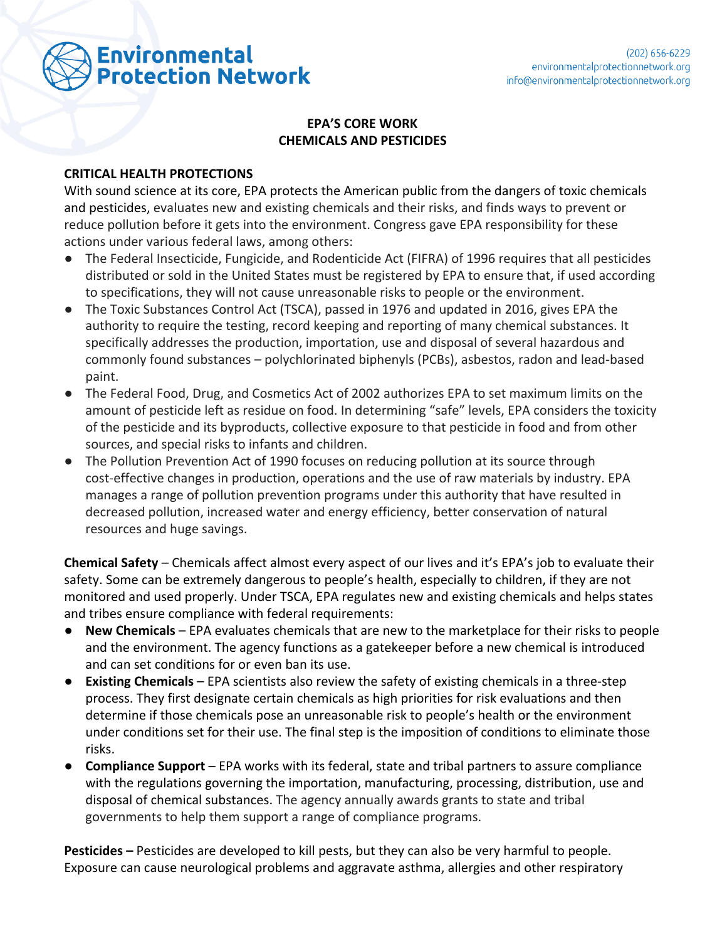

## **EPA'S CORE WORK CHEMICALS AND PESTICIDES**

## **CRITICAL HEALTH PROTECTIONS**

With sound science at its core, EPA protects the American public from the dangers of toxic chemicals and pesticides, evaluates new and existing chemicals and their risks, and finds ways to prevent or reduce pollution before it gets into the environment. Congress gave EPA responsibility for these actions under various federal laws, among others:

- The Federal Insecticide, Fungicide, and Rodenticide Act (FIFRA) of 1996 requires that all pesticides distributed or sold in the United States must be registered by EPA to ensure that, if used according to specifications, they will not cause unreasonable risks to people or the environment.
- The Toxic Substances Control Act (TSCA), passed in 1976 and updated in 2016, gives EPA the authority to require the testing, record keeping and reporting of many chemical substances. It specifically addresses the production, importation, use and disposal of several hazardous and commonly found substances – polychlorinated biphenyls (PCBs), asbestos, radon and lead-based paint.
- The Federal Food, Drug, and Cosmetics Act of 2002 authorizes EPA to set maximum limits on the amount of pesticide left as residue on food. In determining "safe" levels, EPA considers the toxicity of the pesticide and its byproducts, collective exposure to that pesticide in food and from other sources, and special risks to infants and children.
- The Pollution Prevention Act of 1990 focuses on reducing pollution at its source through cost-effective changes in production, operations and the use of raw materials by industry. EPA manages a range of pollution prevention programs under this authority that have resulted in decreased pollution, increased water and energy efficiency, better conservation of natural resources and huge savings.

**Chemical Safety** – Chemicals affect almost every aspect of our lives and it's EPA's job to evaluate their safety. Some can be extremely dangerous to people's health, especially to children, if they are not monitored and used properly. Under TSCA, EPA regulates new and existing chemicals and helps states and tribes ensure compliance with federal requirements:

- **New Chemicals** EPA evaluates chemicals that are new to the marketplace for their risks to people and the environment. The agency functions as a gatekeeper before a new chemical is introduced and can set conditions for or even ban its use.
- **● Existing Chemicals** EPA scientists also review the safety of existing chemicals in a three-step process. They first designate certain chemicals as high priorities for risk evaluations and then determine if those chemicals pose an unreasonable risk to people's health or the environment under conditions set for their use. The final step is the imposition of conditions to eliminate those risks.
- **● Compliance Support** EPA works with its federal, state and tribal partners to assure compliance with the regulations governing the importation, manufacturing, processing, distribution, use and disposal of chemical substances. The agency annually awards grants to state and tribal governments to help them support a range of compliance programs.

**Pesticides –** Pesticides are developed to kill pests, but they can also be very harmful to people. Exposure can cause neurological problems and aggravate asthma, allergies and other respiratory